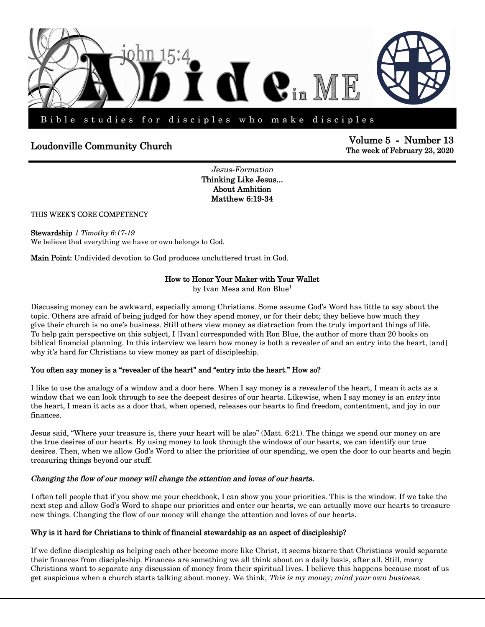

# **The week of February 23, 2020 Community Church Community Church Community Church Properties Example 23, 2020 Properties**

**Volume 5 - Number 13** 

*Jesus-Formation*  **Thinking Like Jesus... About Ambition Matthew 6:19-34**

## THIS WEEK'S CORE COMPETENCY

**Stewardship** *1 Timothy 6:17-19*  We believe that everything we have or own belongs to God.

**Main Point:** Undivided devotion to God produces uncluttered trust in God.

## **How to Honor Your Maker with Your Wallet**

by Ivan Mesa and Ron Blue<sup>1</sup>

Discussing money can be awkward, especially among Christians. Some assume God's Word has little to say about the topic. Others are afraid of being judged for how they spend money, or for their debt; they believe how much they give their church is no one's business. Still others view money as distraction from the truly important things of life. To help gain perspective on this subject, I [Ivan] corresponded with Ron Blue, the author of more than 20 books on biblical financial planning. In this interview we learn how money is both a revealer of and an entry into the heart, [and] why it's hard for Christians to view money as part of discipleship.

## **You often say money is a "revealer of the heart" and "entry into the heart." How so?**

I like to use the analogy of a window and a door here. When I say money is a *revealer* of the heart, I mean it acts as a window that we can look through to see the deepest desires of our hearts. Likewise, when I say money is an *entry* into the heart, I mean it acts as a door that, when opened, releases our hearts to find freedom, contentment, and joy in our finances.

Jesus said, "Where your treasure is, there your heart will be also" (Matt. 6:21). The things we spend our money on are the true desires of our hearts. By using money to look through the windows of our hearts, we can identify our true desires. Then, when we allow God's Word to alter the priorities of our spending, we open the door to our hearts and begin treasuring things beyond our stuff.

#### *Changing the flow of our money will change the attention and loves of our hearts.*

I often tell people that if you show me your checkbook, I can show you your priorities. This is the window. If we take the next step and allow God's Word to shape our priorities and enter our hearts, we can actually move our hearts to treasure new things. Changing the flow of our money will change the attention and loves of our hearts.

#### **Why is it hard for Christians to think of financial stewardship as an aspect of discipleship?**

If we define discipleship as helping each other become more like Christ, it seems bizarre that Christians would separate their finances from discipleship. Finances are something we all think about on a daily basis, after all. Still, many Christians want to separate any discussion of money from their spiritual lives. I believe this happens because most of us get suspicious when a church starts talking about money. We think, *This is my money; mind your own business*.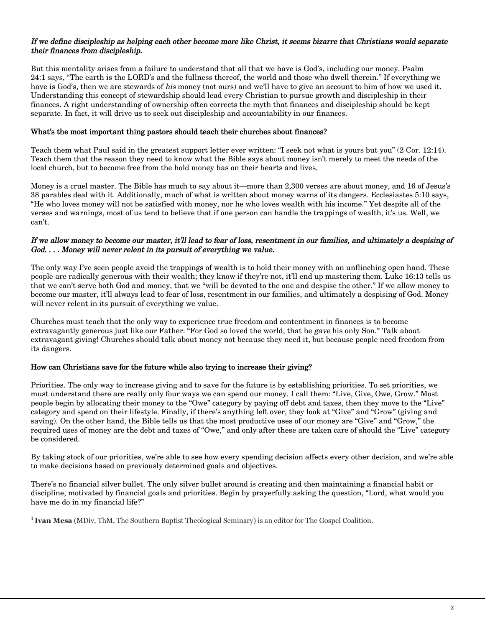## *If we define discipleship as helping each other become more like Christ, it seems bizarre that Christians would separate their finances from discipleship.*

But this mentality arises from a failure to understand that all that we have is God's, including our money. Psalm 24:1 says, "The earth is the LORD's and the fullness thereof, the world and those who dwell therein." If everything we have is God's, then we are stewards of *his* money (not ours) and we'll have to give an account to him of how we used it. Understanding this concept of stewardship should lead every Christian to pursue growth and discipleship in their finances. A right understanding of ownership often corrects the myth that finances and discipleship should be kept separate. In fact, it will drive us to seek out discipleship and accountability in our finances.

## **What's the most important thing pastors should teach their churches about finances?**

Teach them what Paul said in the greatest support letter ever written: "I seek not what is yours but you" (2 Cor. 12:14). Teach them that the reason they need to know what the Bible says about money isn't merely to meet the needs of the local church, but to become free from the hold money has on their hearts and lives.

Money is a cruel master. The Bible has much to say about it—more than 2,300 verses are about money, and 16 of Jesus's 38 parables deal with it. Additionally, much of what is written about money warns of its dangers. Ecclesiastes 5:10 says, "He who loves money will not be satisfied with money, nor he who loves wealth with his income." Yet despite all of the verses and warnings, most of us tend to believe that if one person can handle the trappings of wealth, it's us. Well, we can't.

## *If we allow money to become our master, it'll lead to fear of loss, resentment in our families, and ultimately a despising of God. . . . Money will never relent in its pursuit of everything we value.*

The only way I've seen people avoid the trappings of wealth is to hold their money with an unflinching open hand. These people are radically generous with their wealth; they know if they're not, it'll end up mastering them. Luke 16:13 tells us that we can't serve both God and money, that we "will be devoted to the one and despise the other." If we allow money to become our master, it'll always lead to fear of loss, resentment in our families, and ultimately a despising of God. Money will never relent in its pursuit of everything we value.

Churches must teach that the only way to experience true freedom and contentment in finances is to become extravagantly generous just like our Father: "For God so loved the world, that he *gave* his only Son." Talk about extravagant giving! Churches should talk about money not because they need it, but because people need freedom from its dangers.

## **How can Christians save for the future while also trying to increase their giving?**

Priorities. The only way to increase giving and to save for the future is by establishing priorities. To set priorities, we must understand there are really only four ways we can spend our money. I call them: "Live, Give, Owe, Grow." Most people begin by allocating their money to the "Owe" category by paying off debt and taxes, then they move to the "Live" category and spend on their lifestyle. Finally, if there's anything left over, they look at "Give" and "Grow" (giving and saving). On the other hand, the Bible tells us that the most productive uses of our money are "Give" and "Grow," the required uses of money are the debt and taxes of "Owe," and only after these are taken care of should the "Live" category be considered.

By taking stock of our priorities, we're able to see how every spending decision affects every other decision, and we're able to make decisions based on previously determined goals and objectives.

There's no financial silver bullet. The only silver bullet around is creating and then maintaining a financial habit or discipline, motivated by financial goals and priorities. Begin by prayerfully asking the question, "Lord, what would you have me do in my financial life?"

**<sup>1</sup>Ivan Mesa** (MDiv, ThM, The Southern Baptist Theological Seminary) is an editor for The Gospel Coalition.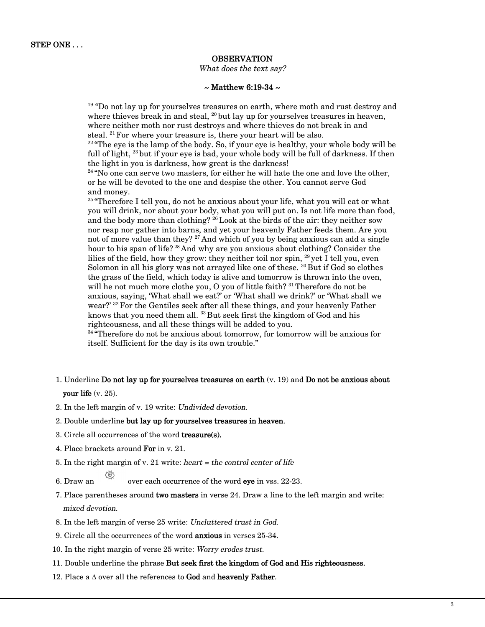## **OBSERVATION**

#### *What does the text say?*

#### **~ Matthew 6:19-34 ~**

<sup>19</sup> "Do not lay up for yourselves treasures on earth, where moth and rust destroy and where thieves break in and steal,  $^{20}$  but lay up for yourselves treasures in heaven, where neither moth nor rust destroys and where thieves do not break in and steal.  $21$  For where your treasure is, there your heart will be also.

 $22^{\circ}$  "The eye is the lamp of the body. So, if your eye is healthy, your whole body will be full of light,  $^{23}$  but if your eye is bad, your whole body will be full of darkness. If then the light in you is darkness, how great is the darkness!

 $24$  "No one can serve two masters, for either he will hate the one and love the other, or he will be devoted to the one and despise the other. You cannot serve God and money.

<sup>25</sup> "Therefore I tell you, do not be anxious about your life, what you will eat or what you will drink, nor about your body, what you will put on. Is not life more than food, and the body more than clothing? <sup>26</sup> Look at the birds of the air: they neither sow nor reap nor gather into barns, and yet your heavenly Father feeds them. Are you not of more value than they? <sup>27</sup> And which of you by being anxious can add a single hour to his span of life?<sup>28</sup> And why are you anxious about clothing? Consider the lilies of the field, how they grow: they neither toil nor spin,  $^{29}$  yet I tell you, even Solomon in all his glory was not arrayed like one of these.  $30$  But if God so clothes the grass of the field, which today is alive and tomorrow is thrown into the oven, will he not much more clothe you, O you of little faith?  $31$ Therefore do not be anxious, saying, 'What shall we eat?' or 'What shall we drink?' or 'What shall we wear?' <sup>32</sup> For the Gentiles seek after all these things, and your heavenly Father knows that you need them all. <sup>33</sup> But seek first the kingdom of God and his righteousness, and all these things will be added to you.

<sup>34</sup> "Therefore do not be anxious about tomorrow, for tomorrow will be anxious for itself. Sufficient for the day is its own trouble."

- 1. Underline **Do not lay up for yourselves treasures on earth** (v. 19) and **Do not be anxious about your life** (v. 25).
- 2. In the left margin of v. 19 write: *Undivided devotion*.
- 2. Double underline **but lay up for yourselves treasures in heaven**.
- 3. Circle all occurrences of the word **treasure(s).**
- 4. Place brackets around **For** in v. 21.
- 5. In the right margin of v. 21 write: *heart = the control center of life*
- 6. Draw an over each occurrence of the word **eye** in vss. 22-23.
- 7. Place parentheses around **two masters** in verse 24. Draw a line to the left margin and write: *mixed devotion.*
- 8. In the left margin of verse 25 write: *Uncluttered trust in God*.
- 9. Circle all the occurrences of the word **anxious** in verses 25-34.
- 10. In the right margin of verse 25 write: *Worry erodes trust.*
- 11. Double underline the phrase **But seek first the kingdom of God and His righteousness.**
- 12. Place a ∆ over all the references to **God** and **heavenly Father**.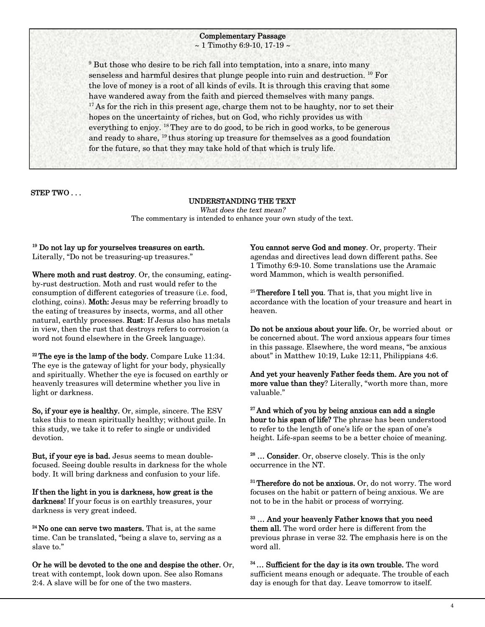#### **Complementary Passage**   $\sim$  1 Timothy 6:9-10, 17-19  $\sim$

<sup>9</sup> But those who desire to be rich fall into temptation, into a snare, into many senseless and harmful desires that plunge people into ruin and destruction. <sup>10</sup> For the love of money is a root of all kinds of evils. It is through this craving that some have wandered away from the faith and pierced themselves with many pangs.  $17$ As for the rich in this present age, charge them not to be haughty, nor to set their hopes on the uncertainty of riches, but on God, who richly provides us with everything to enjoy. <sup>18</sup> They are to do good, to be rich in good works, to be generous and ready to share,  $^{19}$  thus storing up treasure for themselves as a good foundation for the future, so that they may take hold of that which is truly life.

**STEP TWO . . .** 

#### **UNDERSTANDING THE TEXT**  *What does the text mean?*

The commentary is intended to enhance your own study of the text.

**<sup>19</sup> Do not lay up for yourselves treasures on earth.** Literally, "Do not be treasuring-up treasures."

**Where moth and rust destroy**. Or, the consuming, eatingby-rust destruction. Moth and rust would refer to the consumption of different categories of treasure (i.e. food, clothing, coins). **Moth:** Jesus may be referring broadly to the eating of treasures by insects, worms, and all other natural, earthly processes. **Rust**: If Jesus also has metals in view, then the rust that destroys refers to corrosion (a word not found elsewhere in the Greek language).

**<sup>22</sup>The eye is the lamp of the body.** Compare Luke 11:34. The eye is the gateway of light for your body, physically and spiritually. Whether the eye is focused on earthly or heavenly treasures will determine whether you live in light or darkness.

**So, if your eye is healthy.** Or, simple, sincere. The ESV takes this to mean spiritually healthy; without guile. In this study, we take it to refer to single or undivided devotion.

**But, if your eye is bad.** Jesus seems to mean doublefocused. Seeing double results in darkness for the whole body. It will bring darkness and confusion to your life.

**If then the light in you is darkness, how great is the darkness**! If your focus is on earthly treasures, your darkness is very great indeed.

**<sup>24</sup>No one can serve two masters.** That is, at the same time. Can be translated, "being a slave to, serving as a slave to."

**Or he will be devoted to the one and despise the other.** Or, treat with contempt, look down upon. See also Romans 2:4. A slave will be for one of the two masters.

**You cannot serve God and money**. Or, property. Their agendas and directives lead down different paths. See 1 Timothy 6:9-10. Some translations use the Aramaic word Mammon, which is wealth personified.

<sup>25</sup>**Therefore I tell you**. That is, that you might live in accordance with the location of your treasure and heart in heaven.

**Do not be anxious about your life.** Or, be worried about or be concerned about. The word anxious appears four times in this passage. Elsewhere, the word means, "be anxious about" in Matthew 10:19, Luke 12:11, Philippians 4:6.

**And yet your heavenly Father feeds them. Are you not of more value than they**? Literally, "worth more than, more valuable."

**<sup>27</sup>And which of you by being anxious can add a single hour to his span of life?** The phrase has been understood to refer to the length of one's life or the span of one's height. Life-span seems to be a better choice of meaning.

**<sup>28</sup> … Consider**. Or, observe closely. This is the only occurrence in the NT.

**<sup>31</sup>Therefore do not be anxious.** Or, do not worry. The word focuses on the habit or pattern of being anxious. We are not to be in the habit or process of worrying.

**<sup>33</sup> … And your heavenly Father knows that you need them all.** The word order here is different from the previous phrase in verse 32. The emphasis here is on the word all.

**<sup>34</sup>… Sufficient for the day is its own trouble.** The word sufficient means enough or adequate. The trouble of each day is enough for that day. Leave tomorrow to itself.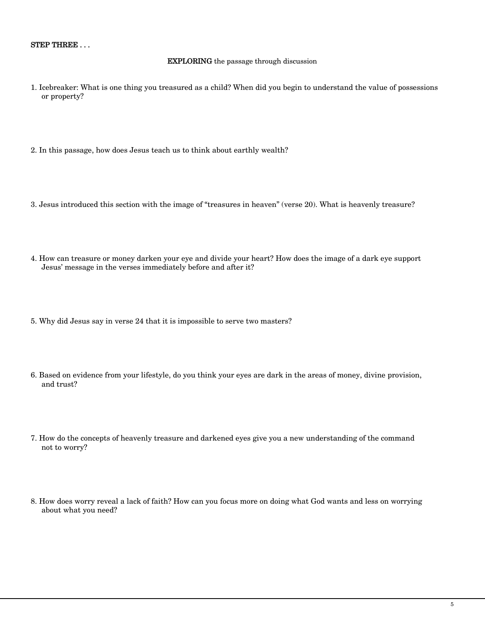#### **EXPLORING** the passage through discussion

- 1. Icebreaker: What is one thing you treasured as a child? When did you begin to understand the value of possessions or property?
- 2. In this passage, how does Jesus teach us to think about earthly wealth?
- 3. Jesus introduced this section with the image of "treasures in heaven" (verse 20). What is heavenly treasure?
- 4. How can treasure or money darken your eye and divide your heart? How does the image of a dark eye support Jesus' message in the verses immediately before and after it?
- 5. Why did Jesus say in verse 24 that it is impossible to serve two masters?
- 6. Based on evidence from your lifestyle, do you think your eyes are dark in the areas of money, divine provision, and trust?
- 7. How do the concepts of heavenly treasure and darkened eyes give you a new understanding of the command not to worry?
- 8. How does worry reveal a lack of faith? How can you focus more on doing what God wants and less on worrying about what you need?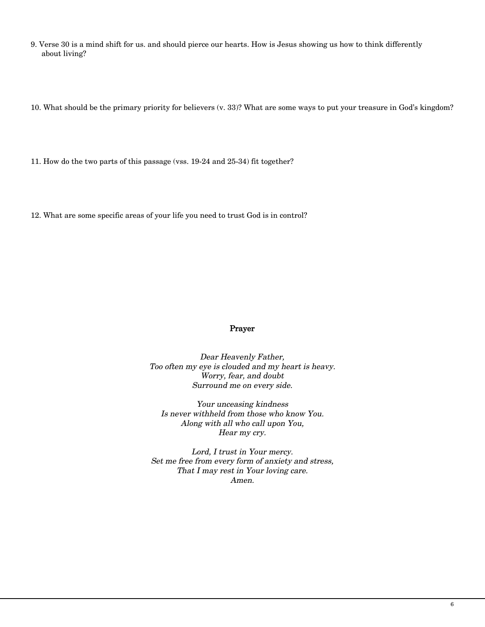9. Verse 30 is a mind shift for us. and should pierce our hearts. How is Jesus showing us how to think differently about living?

10. What should be the primary priority for believers (v. 33)? What are some ways to put your treasure in God's kingdom?

11. How do the two parts of this passage (vss. 19-24 and 25-34) fit together?

12. What are some specific areas of your life you need to trust God is in control?

## **Prayer**

*Dear Heavenly Father, Too often my eye is clouded and my heart is heavy. Worry, fear, and doubt Surround me on every side.* 

*Your unceasing kindness Is never withheld from those who know You. Along with all who call upon You, Hear my cry.* 

*Lord, I trust in Your mercy. Set me free from every form of anxiety and stress, That I may rest in Your loving care. Amen.*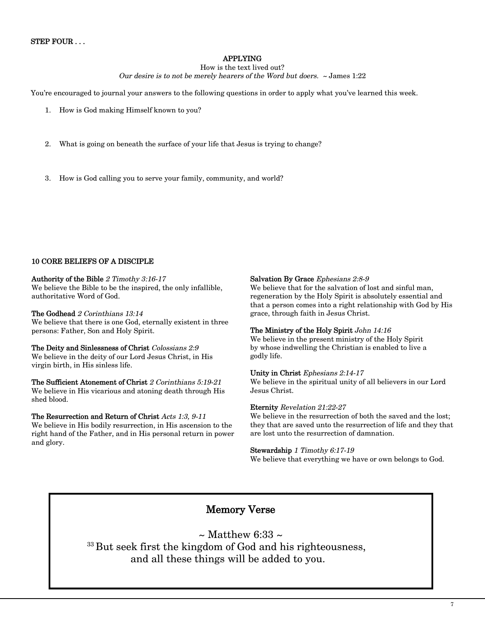## **APPLYING**

How is the text lived out? *Our desire is to not be merely hearers of the Word but doers. ~* James 1:22

You're encouraged to journal your answers to the following questions in order to apply what you've learned this week.

- 1. How is God making Himself known to you?
- 2. What is going on beneath the surface of your life that Jesus is trying to change?
- 3. How is God calling you to serve your family, community, and world?

## **10 CORE BELIEFS OF A DISCIPLE**

**Authority of the Bible** *2 Timothy 3:16-17*  We believe the Bible to be the inspired, the only infallible, authoritative Word of God.

**The Godhead** *2 Corinthians 13:14*  We believe that there is one God, eternally existent in three persons: Father, Son and Holy Spirit.

**The Deity and Sinlessness of Christ** *Colossians 2:9*  We believe in the deity of our Lord Jesus Christ, in His virgin birth, in His sinless life.

**The Sufficient Atonement of Christ** *2 Corinthians 5:19-21* We believe in His vicarious and atoning death through His shed blood.

**The Resurrection and Return of Christ** *Acts 1:3, 9-11* We believe in His bodily resurrection, in His ascension to the right hand of the Father, and in His personal return in power and glory.

#### **Salvation By Grace** *Ephesians 2:8-9*

We believe that for the salvation of lost and sinful man, regeneration by the Holy Spirit is absolutely essential and that a person comes into a right relationship with God by His grace, through faith in Jesus Christ.

## **The Ministry of the Holy Spirit** *John 14:16*

We believe in the present ministry of the Holy Spirit by whose indwelling the Christian is enabled to live a godly life.

#### **Unity in Christ** *Ephesians 2:14-17*

We believe in the spiritual unity of all believers in our Lord Jesus Christ.

#### **Eternity** *Revelation 21:22-27*

We believe in the resurrection of both the saved and the lost; they that are saved unto the resurrection of life and they that are lost unto the resurrection of damnation.

#### **Stewardship** *1 Timothy 6:17-19*

We believe that everything we have or own belongs to God.

## **Memory Verse**

 $\sim$  Matthew 6:33  $\sim$  $33$  But seek first the kingdom of God and his righteousness, and all these things will be added to you.